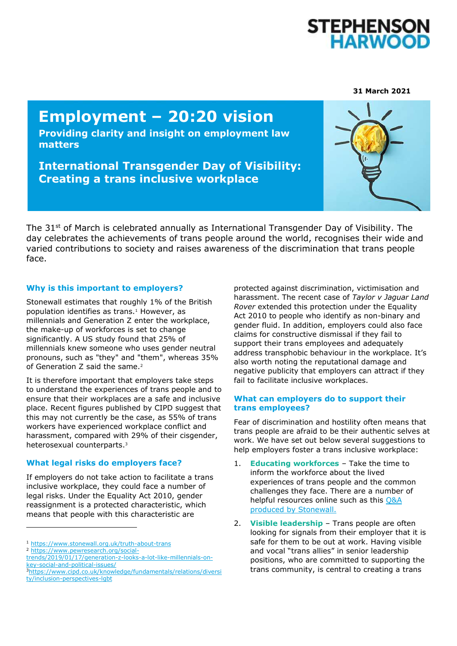

#### **31 March 2021**

# **Employment – 20:20 vision**

**Providing clarity and insight on employment law matters**

**International Transgender Day of Visibility: Creating a trans inclusive workplace** 



The  $31<sup>st</sup>$  of March is celebrated annually as International Transgender Day of Visibility. The day celebrates the achievements of trans people around the world, recognises their wide and varied contributions to society and raises awareness of the discrimination that trans people face.

## **Why is this important to employers?**

Stonewall estimates that roughly 1% of the British population identifies as trans.<sup>1</sup> However, as millennials and Generation Z enter the workplace, the make-up of workforces is set to change significantly. A US study found that 25% of millennials knew someone who uses gender neutral pronouns, such as "they" and "them", whereas 35% of Generation Z said the same.<sup>2</sup>

It is therefore important that employers take steps to understand the experiences of trans people and to ensure that their workplaces are a safe and inclusive place. Recent figures published by CIPD suggest that this may not currently be the case, as 55% of trans workers have experienced workplace conflict and harassment, compared with 29% of their cisgender, heterosexual counterparts.<sup>3</sup>

### **What legal risks do employers face?**

If employers do not take action to facilitate a trans inclusive workplace, they could face a number of legal risks. Under the Equality Act 2010, gender reassignment is a protected characteristic, which means that people with this characteristic are

<sup>1</sup> <https://www.stonewall.org.uk/truth-about-trans>

<sup>2</sup> [https://www.pewresearch.org/social-](https://www.pewresearch.org/social-trends/2019/01/17/generation-z-looks-a-lot-like-millennials-on-key-social-and-political-issues/)

ł

protected against discrimination, victimisation and harassment. The recent case of *Taylor v Jaguar Land Rover* extended this protection under the Equality Act 2010 to people who identify as non-binary and gender fluid. In addition, employers could also face claims for constructive dismissal if they fail to support their trans employees and adequately address transphobic behaviour in the workplace. It's also worth noting the reputational damage and negative publicity that employers can attract if they fail to facilitate inclusive workplaces.

## **What can employers do to support their trans employees?**

Fear of discrimination and hostility often means that trans people are afraid to be their authentic selves at work. We have set out below several suggestions to help employers foster a trans inclusive workplace:

- 1. **Educating workforces** Take the time to inform the workforce about the lived experiences of trans people and the common challenges they face. There are a number of helpful resources online such as this [Q&A](https://www.stonewall.org.uk/truth-about-trans)  [produced by Stonewall.](https://www.stonewall.org.uk/truth-about-trans)
- 2. **Visible leadership** Trans people are often looking for signals from their employer that it is safe for them to be out at work. Having visible and vocal "trans allies" in senior leadership positions, who are committed to supporting the trans community, is central to creating a trans

[trends/2019/01/17/generation-z-looks-a-lot-like-millennials-on](https://www.pewresearch.org/social-trends/2019/01/17/generation-z-looks-a-lot-like-millennials-on-key-social-and-political-issues/)[key-social-and-political-issues/](https://www.pewresearch.org/social-trends/2019/01/17/generation-z-looks-a-lot-like-millennials-on-key-social-and-political-issues/)

<sup>3</sup>[https://www.cipd.co.uk/knowledge/fundamentals/relations/diversi](https://www.cipd.co.uk/knowledge/fundamentals/relations/diversity/inclusion-perspectives-lgbt) [ty/inclusion-perspectives-lgbt](https://www.cipd.co.uk/knowledge/fundamentals/relations/diversity/inclusion-perspectives-lgbt)